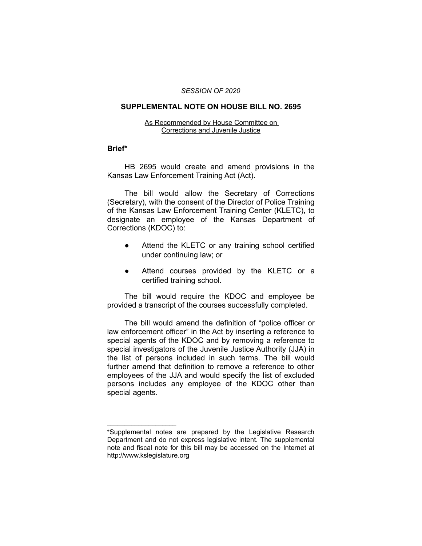#### *SESSION OF 2020*

## **SUPPLEMENTAL NOTE ON HOUSE BILL NO. 2695**

#### As Recommended by House Committee on Corrections and Juvenile Justice

# **Brief\***

HB 2695 would create and amend provisions in the Kansas Law Enforcement Training Act (Act).

The bill would allow the Secretary of Corrections (Secretary), with the consent of the Director of Police Training of the Kansas Law Enforcement Training Center (KLETC), to designate an employee of the Kansas Department of Corrections (KDOC) to:

- Attend the KLETC or any training school certified under continuing law; or
- Attend courses provided by the KLETC or a certified training school.

The bill would require the KDOC and employee be provided a transcript of the courses successfully completed.

The bill would amend the definition of "police officer or law enforcement officer" in the Act by inserting a reference to special agents of the KDOC and by removing a reference to special investigators of the Juvenile Justice Authority (JJA) in the list of persons included in such terms. The bill would further amend that definition to remove a reference to other employees of the JJA and would specify the list of excluded persons includes any employee of the KDOC other than special agents.

 $\overline{\phantom{a}}$  , where  $\overline{\phantom{a}}$  , where  $\overline{\phantom{a}}$ 

<sup>\*</sup>Supplemental notes are prepared by the Legislative Research Department and do not express legislative intent. The supplemental note and fiscal note for this bill may be accessed on the Internet at http://www.kslegislature.org